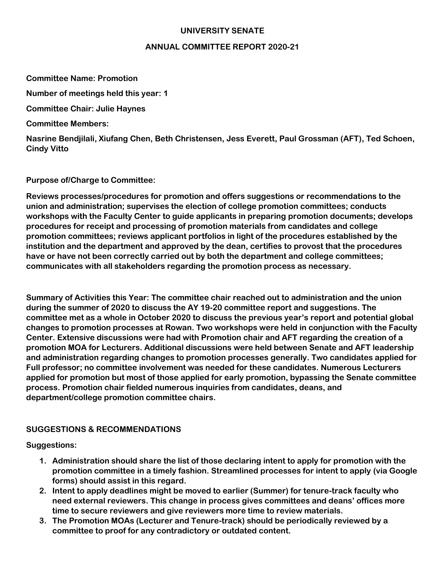## **UNIVERSITY SENATE**

## **ANNUAL COMMITTEE REPORT 2020-21**

**Committee Name: Promotion**

**Number of meetings held this year: 1**

**Committee Chair: Julie Haynes**

**Committee Members:** 

**Nasrine Bendjilali, Xiufang Chen, Beth Christensen, Jess Everett, Paul Grossman (AFT), Ted Schoen, Cindy Vitto**

**Purpose of/Charge to Committee:** 

**Reviews processes/procedures for promotion and offers suggestions or recommendations to the union and administration; supervises the election of college promotion committees; conducts workshops with the Faculty Center to guide applicants in preparing promotion documents; develops procedures for receipt and processing of promotion materials from candidates and college promotion committees; reviews applicant portfolios in light of the procedures established by the institution and the department and approved by the dean, certifies to provost that the procedures have or have not been correctly carried out by both the department and college committees; communicates with all stakeholders regarding the promotion process as necessary.** 

**Summary of Activities this Year: The committee chair reached out to administration and the union during the summer of 2020 to discuss the AY 19-20 committee report and suggestions. The committee met as a whole in October 2020 to discuss the previous year's report and potential global changes to promotion processes at Rowan. Two workshops were held in conjunction with the Faculty Center. Extensive discussions were had with Promotion chair and AFT regarding the creation of a promotion MOA for Lecturers. Additional discussions were held between Senate and AFT leadership and administration regarding changes to promotion processes generally. Two candidates applied for Full professor; no committee involvement was needed for these candidates. Numerous Lecturers applied for promotion but most of those applied for early promotion, bypassing the Senate committee process. Promotion chair fielded numerous inquiries from candidates, deans, and department/college promotion committee chairs.** 

## **SUGGESTIONS & RECOMMENDATIONS**

**Suggestions:** 

- **1. Administration should share the list of those declaring intent to apply for promotion with the promotion committee in a timely fashion. Streamlined processes for intent to apply (via Google forms) should assist in this regard.**
- **2. Intent to apply deadlines might be moved to earlier (Summer) for tenure-track faculty who need external reviewers. This change in process gives committees and deans' offices more time to secure reviewers and give reviewers more time to review materials.**
- **3. The Promotion MOAs (Lecturer and Tenure-track) should be periodically reviewed by a committee to proof for any contradictory or outdated content.**